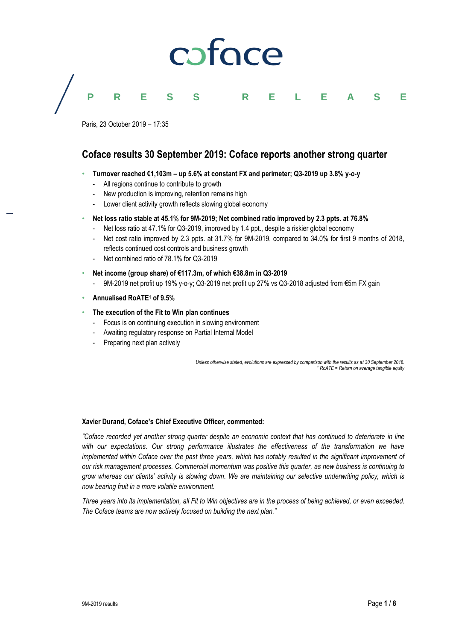# coface

#### **PRESS RELEASE**

Paris, 23 October 2019 – 17:35

#### **Coface results 30 September 2019: Coface reports another strong quarter**

- **Turnover reached €1,103m – up 5.6% at constant FX and perimeter; Q3-2019 up 3.8% y-o-y**
	- All regions continue to contribute to growth
	- New production is improving, retention remains high
	- Lower client activity growth reflects slowing global economy

#### • **Net loss ratio stable at 45.1% for 9M-2019; Net combined ratio improved by 2.3 ppts. at 76.8%**

- Net loss ratio at 47.1% for Q3-2019, improved by 1.4 ppt., despite a riskier global economy
- Net cost ratio improved by 2.3 ppts. at 31.7% for 9M-2019, compared to 34.0% for first 9 months of 2018, reflects continued cost controls and business growth
- Net combined ratio of 78.1% for Q3-2019
- **Net income (group share) of €117.3m, of which €38.8m in Q3-2019**
	- 9M-2019 net profit up 19% y-o-y; Q3-2019 net profit up 27% vs Q3-2018 adjusted from €5m FX gain
- **Annualised RoATE<sup>1</sup> of 9.5%**

#### • **The execution of the Fit to Win plan continues**

- Focus is on continuing execution in slowing environment
- Awaiting regulatory response on Partial Internal Model
- Preparing next plan actively

*Unless otherwise stated, evolutions are expressed by comparison with the results as at 30 September 2018. <sup>1</sup> RoATE = Return on average tangible equity*

#### **Xavier Durand, Coface's Chief Executive Officer, commented:**

*"Coface recorded yet another strong quarter despite an economic context that has continued to deteriorate in line*  with our expectations. Our strong performance illustrates the effectiveness of the transformation we have *implemented within Coface over the past three years, which has notably resulted in the significant improvement of our risk management processes. Commercial momentum was positive this quarter, as new business is continuing to grow whereas our clients' activity is slowing down. We are maintaining our selective underwriting policy, which is now bearing fruit in a more volatile environment.* 

*Three years into its implementation, all Fit to Win objectives are in the process of being achieved, or even exceeded. The Coface teams are now actively focused on building the next plan."*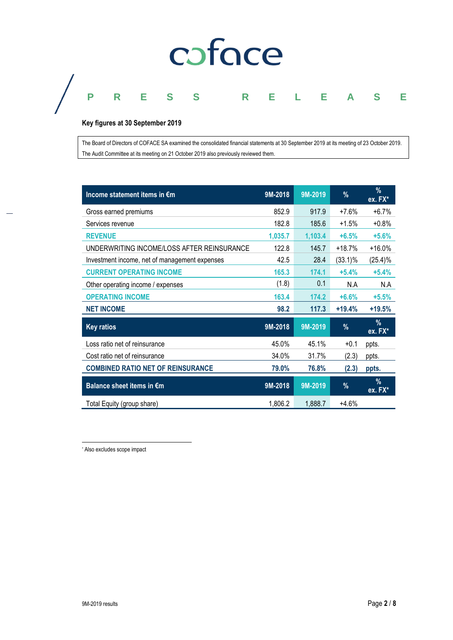# coface

### **PRESS RELEASE**

#### **Key figures at 30 September 2019**

The Board of Directors of COFACE SA examined the consolidated financial statements at 30 September 2019 at its meeting of 23 October 2019. The Audit Committee at its meeting on 21 October 2019 also previously reviewed them.

| Income statement items in €m                  | 9M-2018 | 9M-2019 | $\%$     | $\frac{9}{6}$<br>ex. FX* |
|-----------------------------------------------|---------|---------|----------|--------------------------|
| Gross earned premiums                         | 852.9   | 917.9   | $+7.6%$  | $+6.7%$                  |
| Services revenue                              | 182.8   | 185.6   | +1.5%    | $+0.8%$                  |
| <b>REVENUE</b>                                | 1,035.7 | 1,103.4 | $+6.5%$  | $+5.6%$                  |
| UNDERWRITING INCOME/LOSS AFTER REINSURANCE    | 122.8   | 145.7   | $+18.7%$ | $+16.0%$                 |
| Investment income, net of management expenses | 42.5    | 28.4    | (33.1)%  | (25.4)%                  |
| <b>CURRENT OPERATING INCOME</b>               | 165.3   | 174.1   | $+5.4%$  | $+5.4%$                  |
| Other operating income / expenses             | (1.8)   | 0.1     | N.A      | N.A                      |
| <b>OPERATING INCOME</b>                       | 163.4   | 174.2   | $+6.6%$  | $+5.5%$                  |
| <b>NET INCOME</b>                             | 98.2    | 117.3   | $+19.4%$ | $+19.5%$                 |
| <b>Key ratios</b>                             | 9M-2018 | 9M-2019 | %        | $\%$<br>ex. FX*          |
| Loss ratio net of reinsurance                 | 45.0%   | 45.1%   | $+0.1$   | ppts.                    |
| Cost ratio net of reinsurance                 | 34.0%   | 31.7%   | (2.3)    | ppts.                    |
| <b>COMBINED RATIO NET OF REINSURANCE</b>      | 79.0%   | 76.8%   | (2.3)    | ppts.                    |
| Balance sheet items in €m                     | 9M-2018 | 9M-2019 | $\%$     | $\%$<br>$ex. FX^*$       |
| Total Equity (group share)                    | 1,806.2 | 1,888.7 | $+4.6%$  |                          |

\* Also excludes scope impact

 $\overline{\phantom{a}}$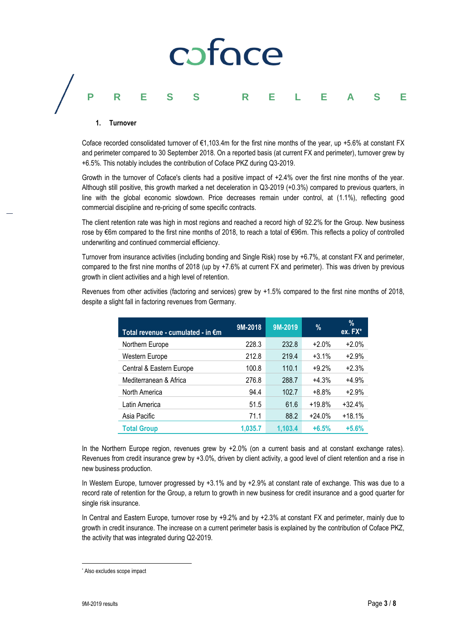## coface **PRESS RELEASE**

#### **1. Turnover**

Coface recorded consolidated turnover of €1,103.4m for the first nine months of the year, up +5.6% at constant FX and perimeter compared to 30 September 2018. On a reported basis (at current FX and perimeter), turnover grew by +6.5%. This notably includes the contribution of Coface PKZ during Q3-2019.

Growth in the turnover of Coface's clients had a positive impact of +2.4% over the first nine months of the year. Although still positive, this growth marked a net deceleration in Q3-2019 (+0.3%) compared to previous quarters, in line with the global economic slowdown. Price decreases remain under control, at (1.1%), reflecting good commercial discipline and re-pricing of some specific contracts.

The client retention rate was high in most regions and reached a record high of 92.2% for the Group. New business rose by €6m compared to the first nine months of 2018, to reach a total of €96m. This reflects a policy of controlled underwriting and continued commercial efficiency.

Turnover from insurance activities (including bonding and Single Risk) rose by +6.7%, at constant FX and perimeter, compared to the first nine months of 2018 (up by +7.6% at current FX and perimeter). This was driven by previous growth in client activities and a high level of retention.

Revenues from other activities (factoring and services) grew by +1.5% compared to the first nine months of 2018, despite a slight fall in factoring revenues from Germany.

| Total revenue - cumulated - in €m | 9M-2018 | 9M-2019 | %        | $\%$<br>$ex. FX^*$ |
|-----------------------------------|---------|---------|----------|--------------------|
| Northern Europe                   | 228.3   | 232.8   | $+2.0%$  | $+2.0%$            |
| Western Europe                    | 212.8   | 219.4   | $+3.1%$  | $+2.9%$            |
| Central & Eastern Europe          | 100.8   | 110.1   | $+9.2%$  | $+2.3%$            |
| Mediterranean & Africa            | 276.8   | 288.7   | $+4.3%$  | $+4.9%$            |
| North America                     | 94.4    | 102.7   | $+8.8%$  | $+2.9%$            |
| Latin America                     | 51.5    | 61.6    | $+19.8%$ | $+32.4%$           |
| Asia Pacific                      | 71.1    | 88.2    | $+24.0%$ | $+18.1%$           |
| <b>Total Group</b>                | 1,035.7 | 1,103.4 | $+6.5%$  | $+5.6%$            |

In the Northern Europe region, revenues grew by +2.0% (on a current basis and at constant exchange rates). Revenues from credit insurance grew by +3.0%, driven by client activity, a good level of client retention and a rise in new business production.

In Western Europe, turnover progressed by +3.1% and by +2.9% at constant rate of exchange. This was due to a record rate of retention for the Group, a return to growth in new business for credit insurance and a good quarter for single risk insurance.

In Central and Eastern Europe, turnover rose by +9.2% and by +2.3% at constant FX and perimeter, mainly due to growth in credit insurance. The increase on a current perimeter basis is explained by the contribution of Coface PKZ, the activity that was integrated during Q2-2019.

 $\overline{\phantom{a}}$ \* Also excludes scope impact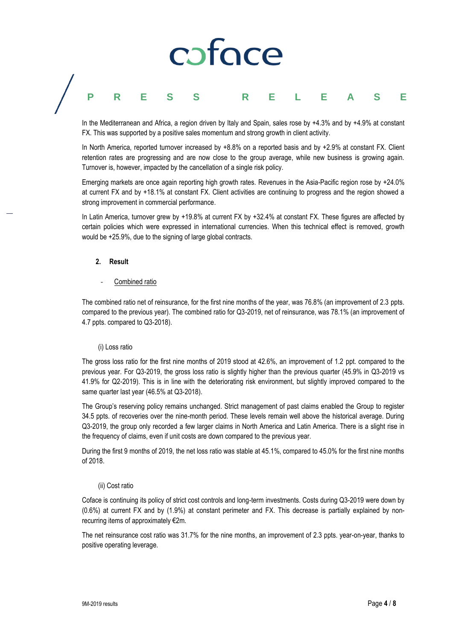### ofoce **PRESS RELEASE**

In the Mediterranean and Africa, a region driven by Italy and Spain, sales rose by +4.3% and by +4.9% at constant FX. This was supported by a positive sales momentum and strong growth in client activity.

In North America, reported turnover increased by +8.8% on a reported basis and by +2.9% at constant FX. Client retention rates are progressing and are now close to the group average, while new business is growing again. Turnover is, however, impacted by the cancellation of a single risk policy.

Emerging markets are once again reporting high growth rates. Revenues in the Asia-Pacific region rose by +24.0% at current FX and by +18.1% at constant FX. Client activities are continuing to progress and the region showed a strong improvement in commercial performance.

In Latin America, turnover grew by +19.8% at current FX by +32.4% at constant FX. These figures are affected by certain policies which were expressed in international currencies. When this technical effect is removed, growth would be +25.9%, due to the signing of large global contracts.

#### **2. Result**

#### Combined ratio

The combined ratio net of reinsurance, for the first nine months of the year, was 76.8% (an improvement of 2.3 ppts. compared to the previous year). The combined ratio for Q3-2019, net of reinsurance, was 78.1% (an improvement of 4.7 ppts. compared to Q3-2018).

#### (i) Loss ratio

The gross loss ratio for the first nine months of 2019 stood at 42.6%, an improvement of 1.2 ppt. compared to the previous year. For Q3-2019, the gross loss ratio is slightly higher than the previous quarter (45.9% in Q3-2019 vs 41.9% for Q2-2019). This is in line with the deteriorating risk environment, but slightly improved compared to the same quarter last year (46.5% at Q3-2018).

The Group's reserving policy remains unchanged. Strict management of past claims enabled the Group to register 34.5 ppts. of recoveries over the nine-month period. These levels remain well above the historical average. During Q3-2019, the group only recorded a few larger claims in North America and Latin America. There is a slight rise in the frequency of claims, even if unit costs are down compared to the previous year.

During the first 9 months of 2019, the net loss ratio was stable at 45.1%, compared to 45.0% for the first nine months of 2018.

#### (ii) Cost ratio

Coface is continuing its policy of strict cost controls and long-term investments. Costs during Q3-2019 were down by (0.6%) at current FX and by (1.9%) at constant perimeter and FX. This decrease is partially explained by nonrecurring items of approximately €2m.

The net reinsurance cost ratio was 31.7% for the nine months, an improvement of 2.3 ppts. year-on-year, thanks to positive operating leverage.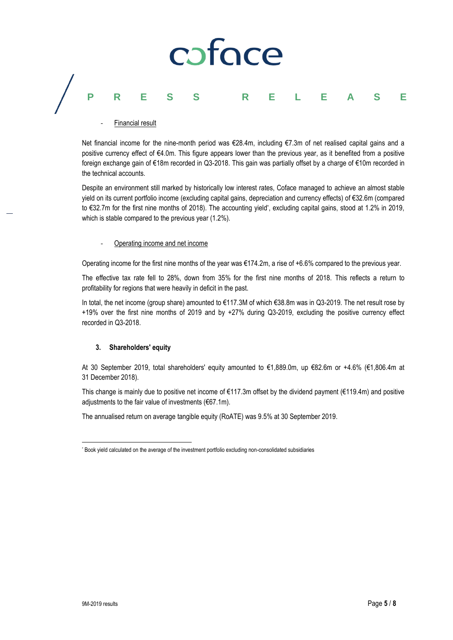# coface **PRESS RELEASE**

Financial result

Net financial income for the nine-month period was €28.4m, including €7.3m of net realised capital gains and a positive currency effect of €4.0m. This figure appears lower than the previous year, as it benefited from a positive foreign exchange gain of €18m recorded in Q3-2018. This gain was partially offset by a charge of €10m recorded in the technical accounts.

Despite an environment still marked by historically low interest rates, Coface managed to achieve an almost stable yield on its current portfolio income (excluding capital gains, depreciation and currency effects) of €32.6m (compared to €32.7m for the first nine months of 2018). The accounting yield\* , excluding capital gains, stood at 1.2% in 2019, which is stable compared to the previous year (1.2%).

#### Operating income and net income

Operating income for the first nine months of the year was €174.2m, a rise of +6.6% compared to the previous year.

The effective tax rate fell to 28%, down from 35% for the first nine months of 2018. This reflects a return to profitability for regions that were heavily in deficit in the past.

In total, the net income (group share) amounted to €117.3M of which €38.8m was in Q3-2019. The net result rose by +19% over the first nine months of 2019 and by +27% during Q3-2019, excluding the positive currency effect recorded in Q3-2018.

#### **3. Shareholders' equity**

At 30 September 2019, total shareholders' equity amounted to €1,889.0m, up €82.6m or +4.6% (€1,806.4m at 31 December 2018).

This change is mainly due to positive net income of €117.3m offset by the dividend payment (€119.4m) and positive adjustments to the fair value of investments (€67.1m).

The annualised return on average tangible equity (RoATE) was 9.5% at 30 September 2019.

 $\overline{\phantom{a}}$ \* Book yield calculated on the average of the investment portfolio excluding non-consolidated subsidiaries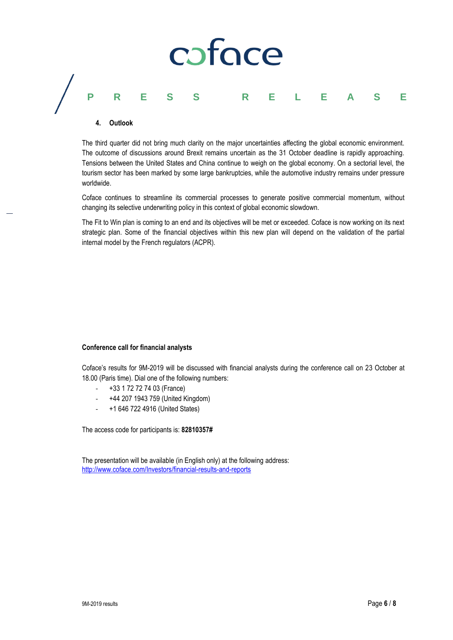# coface **PRESS RELEASE**

#### **4. Outlook**

The third quarter did not bring much clarity on the major uncertainties affecting the global economic environment. The outcome of discussions around Brexit remains uncertain as the 31 October deadline is rapidly approaching. Tensions between the United States and China continue to weigh on the global economy. On a sectorial level, the tourism sector has been marked by some large bankruptcies, while the automotive industry remains under pressure worldwide.

Coface continues to streamline its commercial processes to generate positive commercial momentum, without changing its selective underwriting policy in this context of global economic slowdown.

The Fit to Win plan is coming to an end and its objectives will be met or exceeded. Coface is now working on its next strategic plan. Some of the financial objectives within this new plan will depend on the validation of the partial internal model by the French regulators (ACPR).

#### **Conference call for financial analysts**

Coface's results for 9M-2019 will be discussed with financial analysts during the conference call on 23 October at 18.00 (Paris time). Dial one of the following numbers:

- +33 1 72 72 74 03 (France)
- +44 207 1943 759 (United Kingdom)
- +1 646 722 4916 (United States)

The access code for participants is: **82810357#**

The presentation will be available (in English only) at the following address: <http://www.coface.com/Investors/financial-results-and-reports>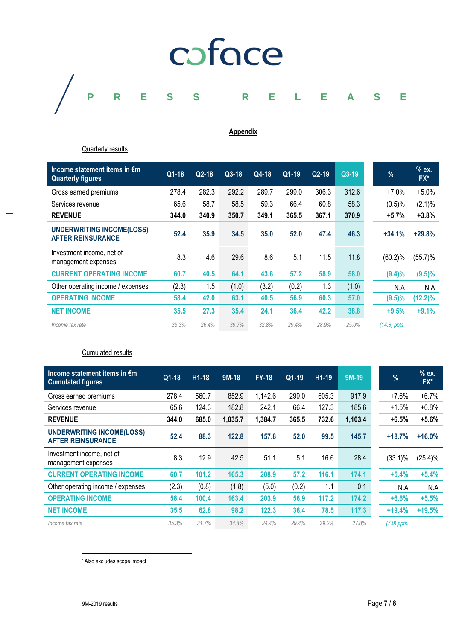

#### **Appendix**

#### Quarterly results

| Income statement items in €m<br><b>Quarterly figures</b>     | Q1-18 | $Q2-18$ | $Q3-18$ | Q4-18 | Q1-19 | $Q2-19$ | $Q3-19$ | $\frac{9}{6}$  | % ex.<br>FX* |
|--------------------------------------------------------------|-------|---------|---------|-------|-------|---------|---------|----------------|--------------|
| Gross earned premiums                                        | 278.4 | 282.3   | 292.2   | 289.7 | 299.0 | 306.3   | 312.6   | $+7.0%$        | $+5.0%$      |
| Services revenue                                             | 65.6  | 58.7    | 58.5    | 59.3  | 66.4  | 60.8    | 58.3    | (0.5)%         | $(2.1)\%$    |
| <b>REVENUE</b>                                               | 344.0 | 340.9   | 350.7   | 349.1 | 365.5 | 367.1   | 370.9   | $+5.7%$        | $+3.8%$      |
| <b>UNDERWRITING INCOME(LOSS)</b><br><b>AFTER REINSURANCE</b> | 52.4  | 35.9    | 34.5    | 35.0  | 52.0  | 47.4    | 46.3    | $+34.1%$       | $+29.8%$     |
| Investment income, net of<br>management expenses             | 8.3   | 4.6     | 29.6    | 8.6   | 5.1   | 11.5    | 11.8    | $(60.2)\%$     | $(55.7)\%$   |
| <b>CURRENT OPERATING INCOME</b>                              | 60.7  | 40.5    | 64.1    | 43.6  | 57.2  | 58.9    | 58.0    | $(9.4)\%$      | $(9.5)\%$    |
| Other operating income / expenses                            | (2.3) | 1.5     | (1.0)   | (3.2) | (0.2) | 1.3     | (1.0)   | N.A            | N.A          |
| <b>OPERATING INCOME</b>                                      | 58.4  | 42.0    | 63.1    | 40.5  | 56.9  | 60.3    | 57.0    | $(9.5)\%$      | $(12.2)\%$   |
| <b>NET INCOME</b>                                            | 35.5  | 27.3    | 35.4    | 24.1  | 36.4  | 42.2    | 38.8    | $+9.5%$        | $+9.1%$      |
| Income tax rate                                              | 35.3% | 26.4%   | 39.7%   | 32.8% | 29.4% | 28.9%   | 25.0%   | $(14.8)$ ppts. |              |

#### Cumulated results

| Income statement items in €m<br><b>Cumulated figures</b>     | Q1-18 | $H1-18$ | $9M-18$ | <b>FY-18</b> | $Q1-19$ | $H1-19$ | 9M-19   | $\frac{9}{6}$ | $%$ ex.<br>FX* |
|--------------------------------------------------------------|-------|---------|---------|--------------|---------|---------|---------|---------------|----------------|
| Gross earned premiums                                        | 278.4 | 560.7   | 852.9   | 1,142.6      | 299.0   | 605.3   | 917.9   | $+7.6%$       | $+6.7%$        |
| Services revenue                                             | 65.6  | 124.3   | 182.8   | 242.1        | 66.4    | 127.3   | 185.6   | $+1.5%$       | $+0.8%$        |
| <b>REVENUE</b>                                               | 344.0 | 685.0   | 1,035.7 | 1,384.7      | 365.5   | 732.6   | 1,103.4 | $+6.5%$       | $+5.6%$        |
| <b>UNDERWRITING INCOME(LOSS)</b><br><b>AFTER REINSURANCE</b> | 52.4  | 88.3    | 122.8   | 157.8        | 52.0    | 99.5    | 145.7   | $+18.7%$      | $+16.0%$       |
| Investment income, net of<br>management expenses             | 8.3   | 12.9    | 42.5    | 51.1         | 5.1     | 16.6    | 28.4    | $(33.1)\%$    | $(25.4)\%$     |
| <b>CURRENT OPERATING INCOME</b>                              | 60.7  | 101.2   | 165.3   | 208.9        | 57.2    | 116.1   | 174.1   | $+5.4%$       | $+5.4%$        |
| Other operating income / expenses                            | (2.3) | (0.8)   | (1.8)   | (5.0)        | (0.2)   | 1.1     | 0.1     | N.A           | N.A            |
| <b>OPERATING INCOME</b>                                      | 58.4  | 100.4   | 163.4   | 203.9        | 56.9    | 117.2   | 174.2   | $+6.6%$       | $+5.5%$        |
| <b>NET INCOME</b>                                            | 35.5  | 62.8    | 98.2    | 122.3        | 36.4    | 78.5    | 117.3   | $+19.4%$      | $+19.5%$       |
| Income tax rate                                              | 35.3% | 31.7%   | 34.8%   | 34.4%        | 29.4%   | 29.2%   | 27.8%   | $(7.0)$ ppts. |                |

\* Also excludes scope impact

 $\overline{\phantom{a}}$